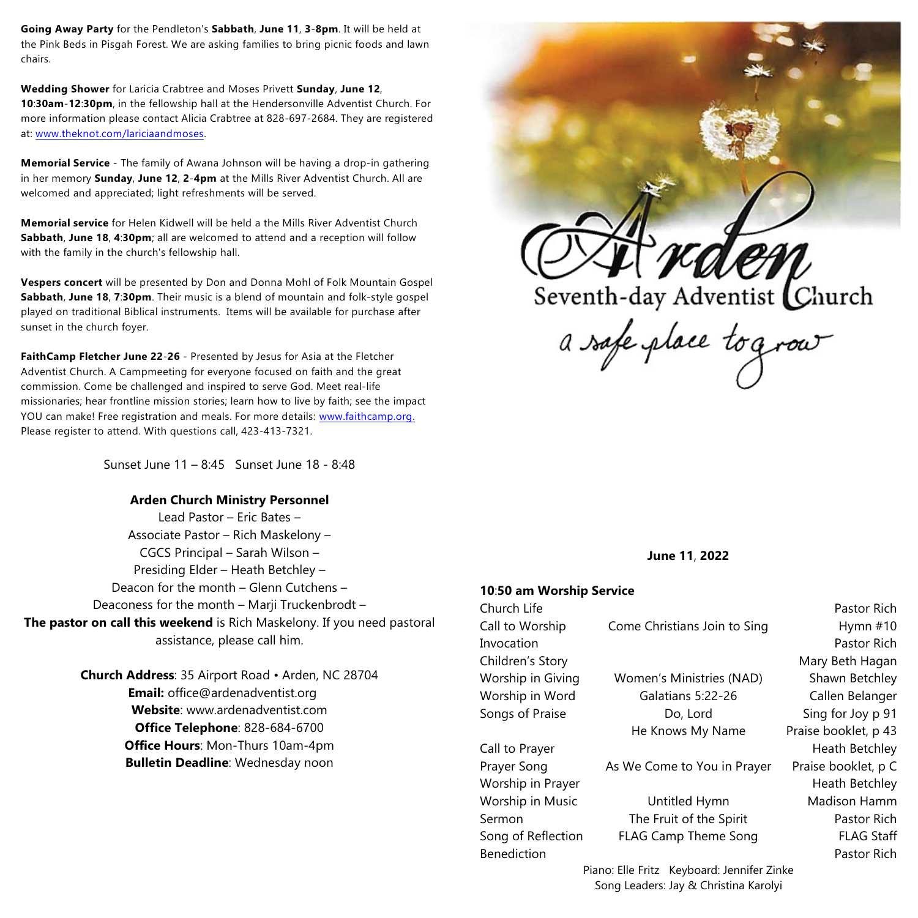**Going Away Party** for the Pendleton's **Sabbath**, **June 11**, **3**-**8pm**. It will be held at the Pink Beds in Pisgah Forest. We are asking families to bring picnic foods and lawn chairs.

**Wedding Shower** for Laricia Crabtree and Moses Privett **Sunday**, **June 12**, **10**:**30am**-**12**:**30pm**, in the fellowship hall at the Hendersonville Adventist Church. For more information please contact Alicia Crabtree at 828-697-2684. They are registered at: [www.theknot.com/lariciaandmoses](http://www.theknot.com/lariciaandmoses).

**Memorial Service** - The family of Awana Johnson will be having a drop-in gathering in her memory **Sunday**, **June 12**, **2**-**4pm** at the Mills River Adventist Church. All are welcomed and appreciated; light refreshments will be served.

**Memorial service** for Helen Kidwell will be held a the Mills River Adventist Church **Sabbath**, **June 18**, **4**:**30pm**; all are welcomed to attend and a reception will follow with the family in the church's fellowship hall.

**Vespers concert** will be presented by Don and Donna Mohl of Folk Mountain Gospel **Sabbath**, **June 18**, **7**:**30pm**. Their music is a blend of mountain and folk-style gospel played on traditional Biblical instruments. Items will be available for purchase after sunset in the church foyer.

**FaithCamp Fletcher June 22**-**26** - Presented by Jesus for Asia at the Fletcher Adventist Church. A Campmeeting for everyone focused on faith and the great commission. Come be challenged and inspired to serve God. Meet real-life missionaries; hear frontline mission stories; learn how to live by faith; see the impact YOU can make! Free registration and meals. For more details: [www.faithcamp.org](http://www.faithcamp.org). Please register to attend. With questions call, 423-413-7321.

Sunset June 11 – 8:45 Sunset June 18 - 8:48

# **Arden Church Ministry Personnel**

Lead Pastor – Eric Bates – Associate Pastor – Rich Maskelony – CGCS Principal – Sarah Wilson – Presiding Elder – Heath Betchley – Deacon for the month – Glenn Cutchens – Deaconess for the month – Marji Truckenbrodt – **The pastor on call this weekend** is Rich Maskelony. If you need pastoral assistance, please call him.

> **Church Address**: 35 Airport Road • Arden, NC 28704 **Email:** office@ardenadventist.org **Website**: www.ardenadventist.com **Office Telephone**: 828-684-6700 **Office Hours**: Mon-Thurs 10am-4pm **Bulletin Deadline**: Wednesday noon



a safe place tograv

**June 11**, **2022**

### **10**:**50 am Worship Service**

| Church Life                                |                              | Pastor Rich          |
|--------------------------------------------|------------------------------|----------------------|
| Call to Worship                            | Come Christians Join to Sing | Hymn $#10$           |
| Invocation                                 |                              | Pastor Rich          |
| Children's Story                           |                              | Mary Beth Hagan      |
| Worship in Giving                          | Women's Ministries (NAD)     | Shawn Betchley       |
| Worship in Word                            | Galatians 5:22-26            | Callen Belanger      |
| Songs of Praise                            | Do, Lord                     | Sing for Joy p 91    |
|                                            | He Knows My Name             | Praise booklet, p 43 |
| Call to Prayer                             |                              | Heath Betchley       |
| Prayer Song                                | As We Come to You in Prayer  | Praise booklet, p C  |
| Worship in Prayer                          |                              | Heath Betchley       |
| Worship in Music                           | Untitled Hymn                | Madison Hamm         |
| Sermon                                     | The Fruit of the Spirit      | Pastor Rich          |
| Song of Reflection                         | <b>FLAG Camp Theme Song</b>  | <b>FLAG Staff</b>    |
| <b>Benediction</b>                         |                              | Pastor Rich          |
| Piano: Elle Fritz Keyboard: Jennifer Zinke |                              |                      |

Song Leaders: Jay & Christina Karolyi